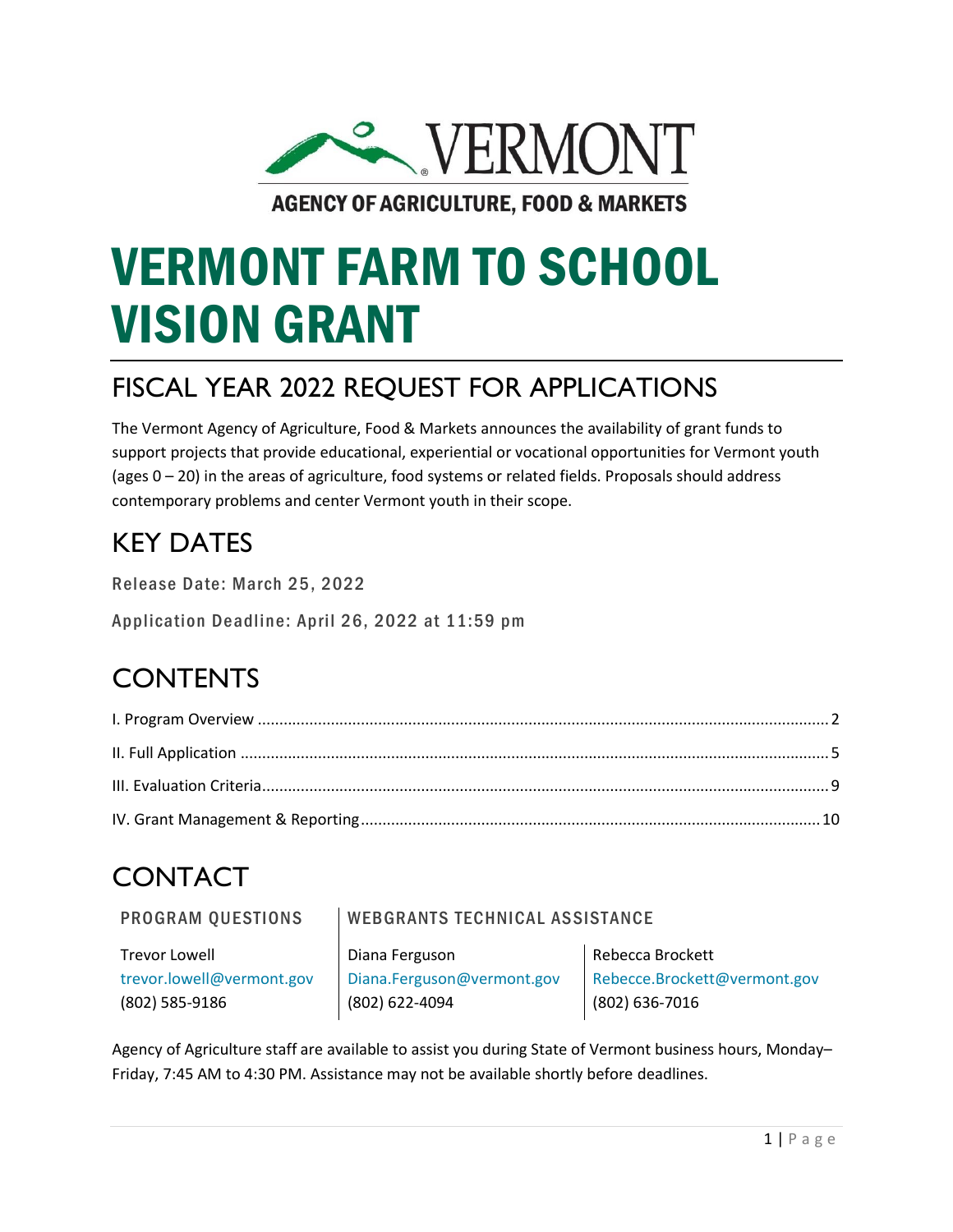

**AGENCY OF AGRICULTURE, FOOD & MARKETS** 

# VERMONT FARM TO SCHOOL VISION GRANT

### FISCAL YEAR 2022 REQUEST FOR APPLICATIONS

The Vermont Agency of Agriculture, Food & Markets announces the availability of grant funds to support projects that provide educational, experiential or vocational opportunities for Vermont youth (ages 0 – 20) in the areas of agriculture, food systems or related fields. Proposals should address contemporary problems and center Vermont youth in their scope.

### KEY DATES

Release Date: March 25, 2022

Application Deadline: April 26, 2022 at 11:59 pm

### **CONTENTS**

## CONTACT

PROGRAM QUESTIONS | WEBGRANTS TECHNICAL ASSISTANCE

Trevor Lowell Diana Ferguson Rebecca Brockett

(802) 585-9186 (802) 622-4094 (802) 636-7016

[trevor.lowell@vermont.gov](mailto:trevor.lowell@vermont.gov) [Diana.Ferguson@vermont.gov](mailto:Diana.Ferguson@vermont.gov) [Rebecce.Brockett@vermont.gov](mailto:Melissa.Moon@vermont.gov)

<span id="page-0-0"></span>Agency of Agriculture staff are available to assist you during State of Vermont business hours, Monday– Friday, 7:45 AM to 4:30 PM. Assistance may not be available shortly before deadlines.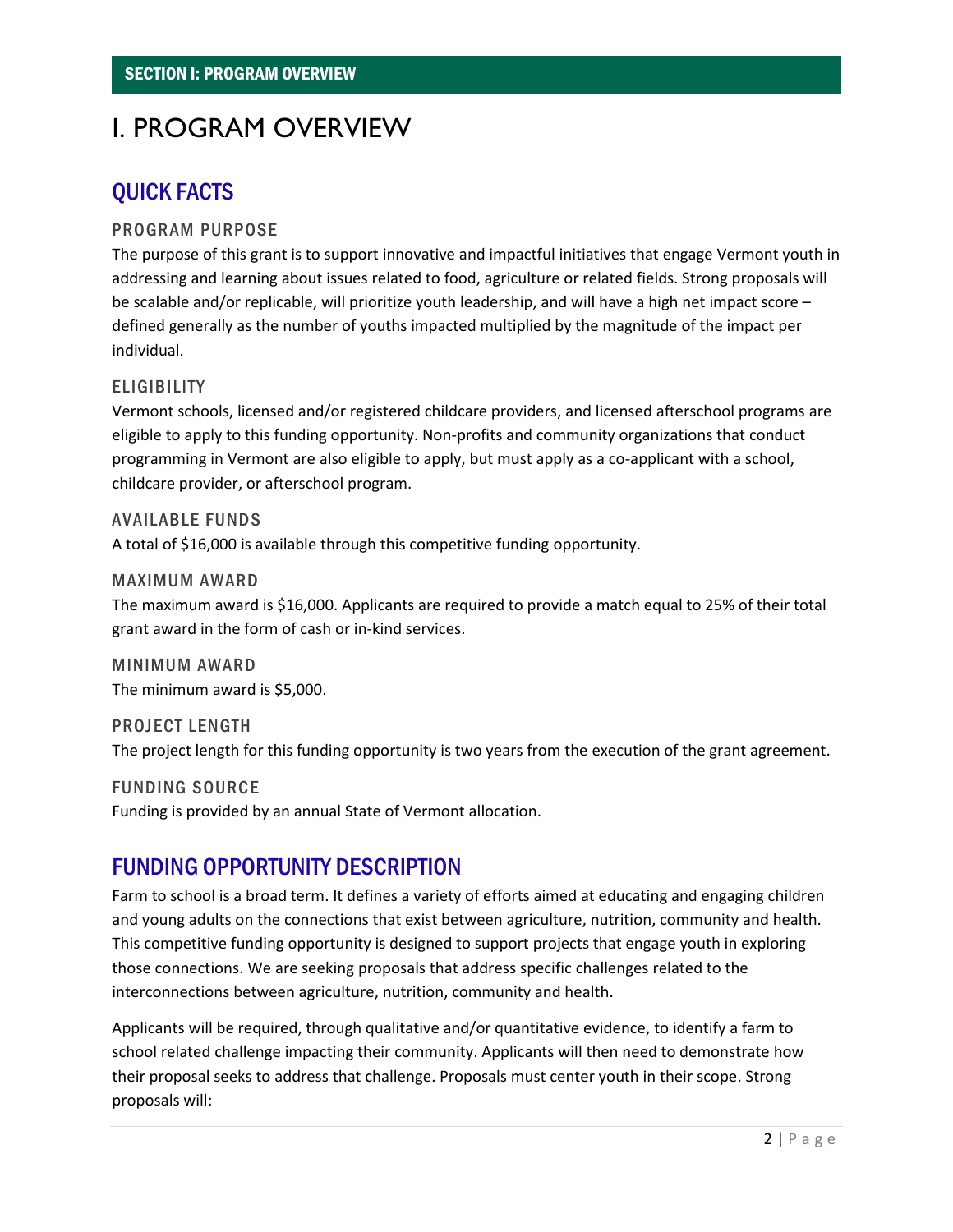### I. PROGRAM OVERVIEW

### QUICK FACTS

#### PROGRAM PURPOSE

The purpose of this grant is to support innovative and impactful initiatives that engage Vermont youth in addressing and learning about issues related to food, agriculture or related fields. Strong proposals will be scalable and/or replicable, will prioritize youth leadership, and will have a high net impact score – defined generally as the number of youths impacted multiplied by the magnitude of the impact per individual.

#### **ELIGIBILITY**

Vermont schools, licensed and/or registered childcare providers, and licensed afterschool programs are eligible to apply to this funding opportunity. Non-profits and community organizations that conduct programming in Vermont are also eligible to apply, but must apply as a co-applicant with a school, childcare provider, or afterschool program.

**AVAILABLE FUNDS** A total of \$16,000 is available through this competitive funding opportunity.

#### MAXIMUM AWARD

The maximum award is \$16,000. Applicants are required to provide a match equal to 25% of their total grant award in the form of cash or in-kind services.

MINIMUM AWARD The minimum award is \$5,000.

PROJECT LENGTH The project length for this funding opportunity is two years from the execution of the grant agreement.

FUNDING SOURCE Funding is provided by an annual State of Vermont allocation.

### FUNDING OPPORTUNITY DESCRIPTION

Farm to school is a broad term. It defines a variety of efforts aimed at educating and engaging children and young adults on the connections that exist between agriculture, nutrition, community and health. This competitive funding opportunity is designed to support projects that engage youth in exploring those connections. We are seeking proposals that address specific challenges related to the interconnections between agriculture, nutrition, community and health.

Applicants will be required, through qualitative and/or quantitative evidence, to identify a farm to school related challenge impacting their community. Applicants will then need to demonstrate how their proposal seeks to address that challenge. Proposals must center youth in their scope. Strong proposals will: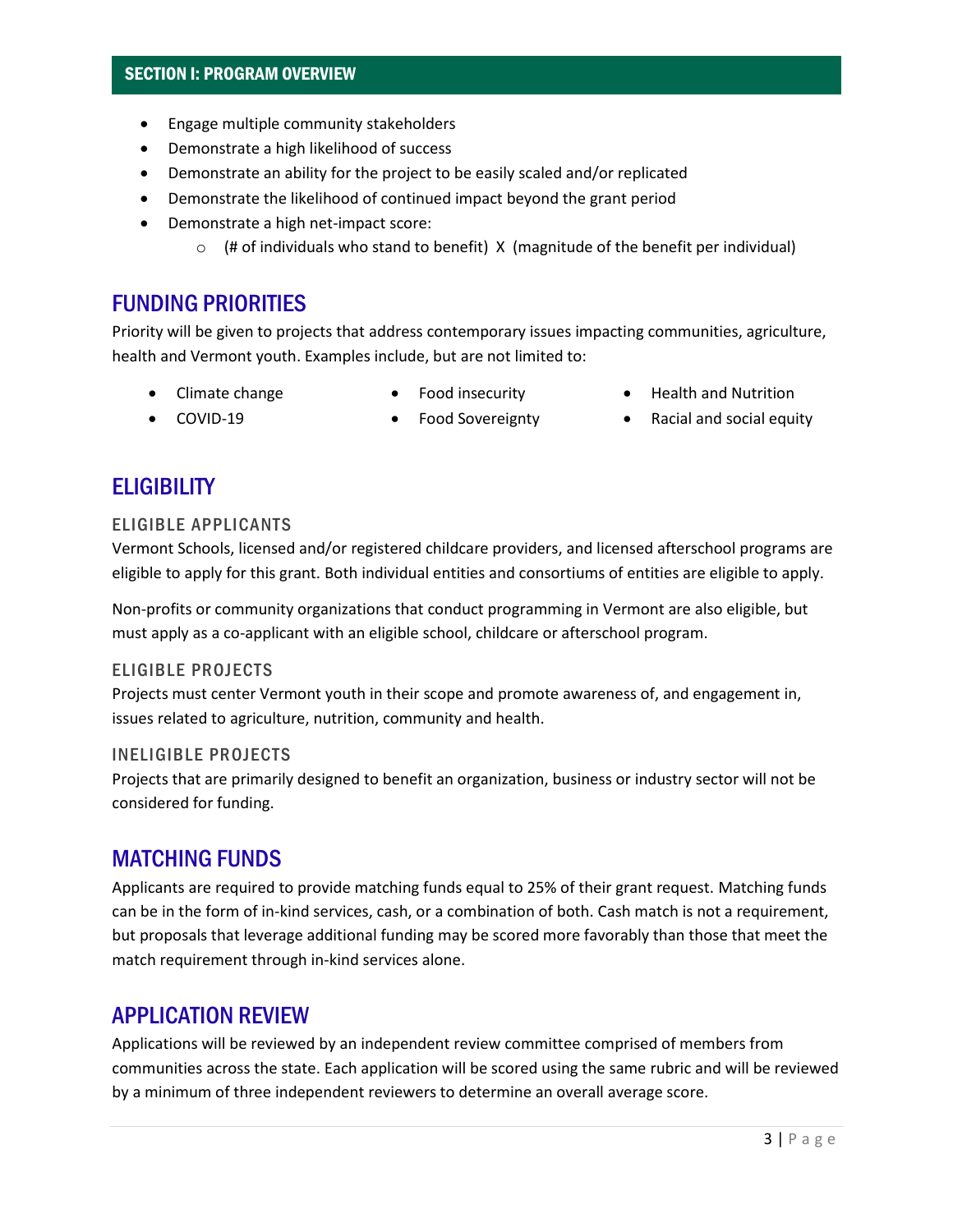#### SECTION I: PROGRAM OVERVIEW

- Engage multiple community stakeholders
- Demonstrate a high likelihood of success
- Demonstrate an ability for the project to be easily scaled and/or replicated
- Demonstrate the likelihood of continued impact beyond the grant period
- Demonstrate a high net-impact score:
	- $\circ$  (# of individuals who stand to benefit) X (magnitude of the benefit per individual)

#### FUNDING PRIORITIES

Priority will be given to projects that address contemporary issues impacting communities, agriculture, health and Vermont youth. Examples include, but are not limited to:

- Climate change
- Food insecurity
- Health and Nutrition

• COVID-19

- Food Sovereignty
- 
- Racial and social equity

#### **ELIGIBILITY**

#### ELIGIBLE APPLICANTS

Vermont Schools, licensed and/or registered childcare providers, and licensed afterschool programs are eligible to apply for this grant. Both individual entities and consortiums of entities are eligible to apply.

Non-profits or community organizations that conduct programming in Vermont are also eligible, but must apply as a co-applicant with an eligible school, childcare or afterschool program.

#### ELIGIBLE PROJECTS

Projects must center Vermont youth in their scope and promote awareness of, and engagement in, issues related to agriculture, nutrition, community and health.

#### **INELIGIBLE PROJECTS**

Projects that are primarily designed to benefit an organization, business or industry sector will not be considered for funding.

#### MATCHING FUNDS

Applicants are required to provide matching funds equal to 25% of their grant request. Matching funds can be in the form of in-kind services, cash, or a combination of both. Cash match is not a requirement, but proposals that leverage additional funding may be scored more favorably than those that meet the match requirement through in-kind services alone.

#### APPLICATION REVIEW

Applications will be reviewed by an independent review committee comprised of members from communities across the state. Each application will be scored using the same rubric and will be reviewed by a minimum of three independent reviewers to determine an overall average score.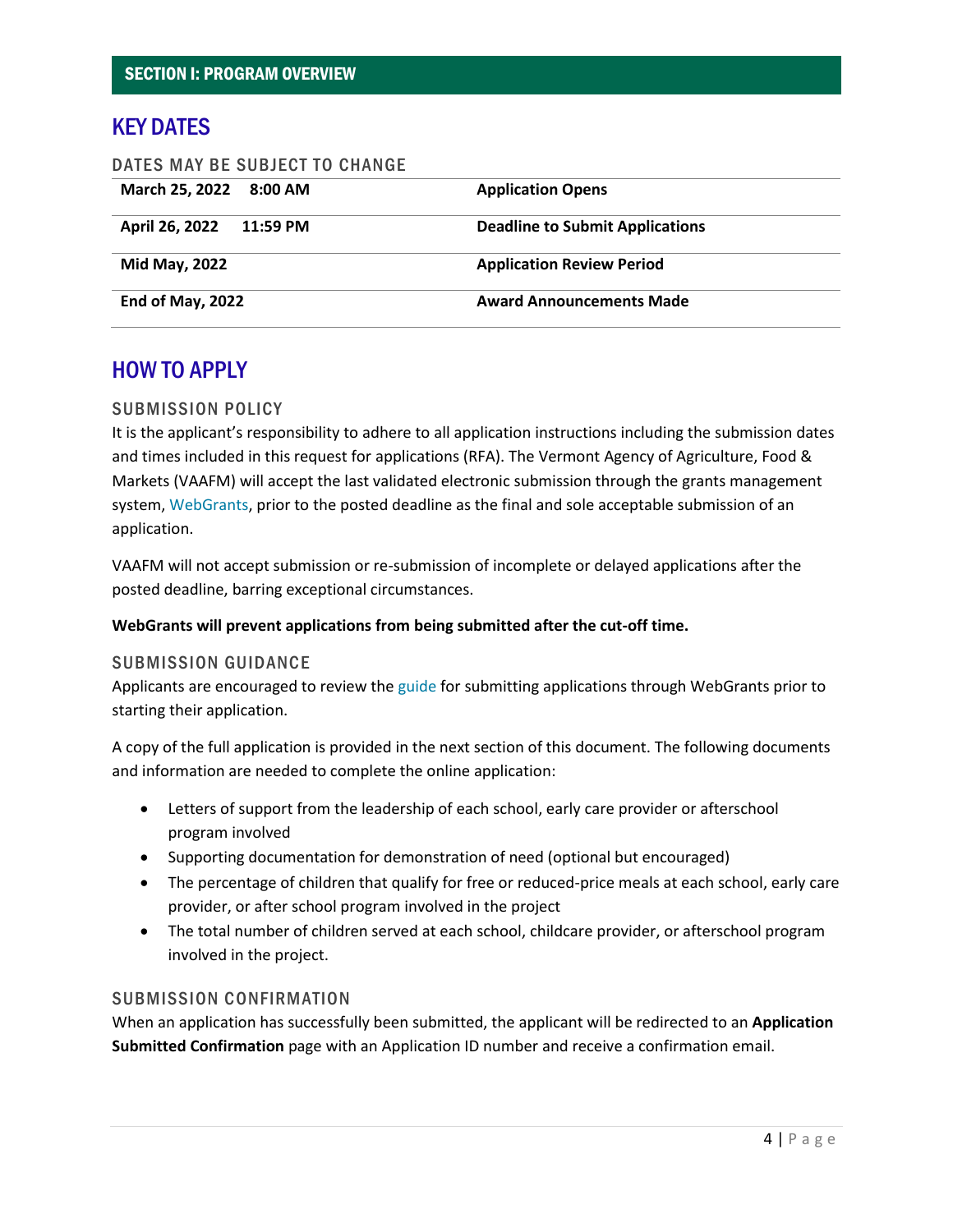#### KEY DATES

| DATES MAY BE SUBJECT TO CHANGE |                                        |
|--------------------------------|----------------------------------------|
| March 25, 2022 8:00 AM         | <b>Application Opens</b>               |
| April 26, 2022 11:59 PM        | <b>Deadline to Submit Applications</b> |
| Mid May, 2022                  | <b>Application Review Period</b>       |
| End of May, 2022               | <b>Award Announcements Made</b>        |

#### HOW TO APPLY

#### SUBMISSION POLICY

It is the applicant's responsibility to adhere to all application instructions including the submission dates and times included in this request for applications (RFA). The Vermont Agency of Agriculture, Food & Markets (VAAFM) will accept the last validated electronic submission through the grants management system, [WebGrants,](https://agriculturegrants.vermont.gov/index.do) prior to the posted deadline as the final and sole acceptable submission of an application.

VAAFM will not accept submission or re-submission of incomplete or delayed applications after the posted deadline, barring exceptional circumstances.

#### **WebGrants will prevent applications from being submitted after the cut-off time.**

#### SUBMISSION GUIDANCE

Applicants are encouraged to review th[e guide](https://agriculture.vermont.gov/grants/howtoapply) for submitting applications through WebGrants prior to starting their application.

A copy of the full application is provided in the next section of this document. The following documents and information are needed to complete the online application:

- Letters of support from the leadership of each school, early care provider or afterschool program involved
- Supporting documentation for demonstration of need (optional but encouraged)
- The percentage of children that qualify for free or reduced-price meals at each school, early care provider, or after school program involved in the project
- The total number of children served at each school, childcare provider, or afterschool program involved in the project.

#### SUBMISSION CONFIRMATION

When an application has successfully been submitted, the applicant will be redirected to an **Application Submitted Confirmation** page with an Application ID number and receive a confirmation email.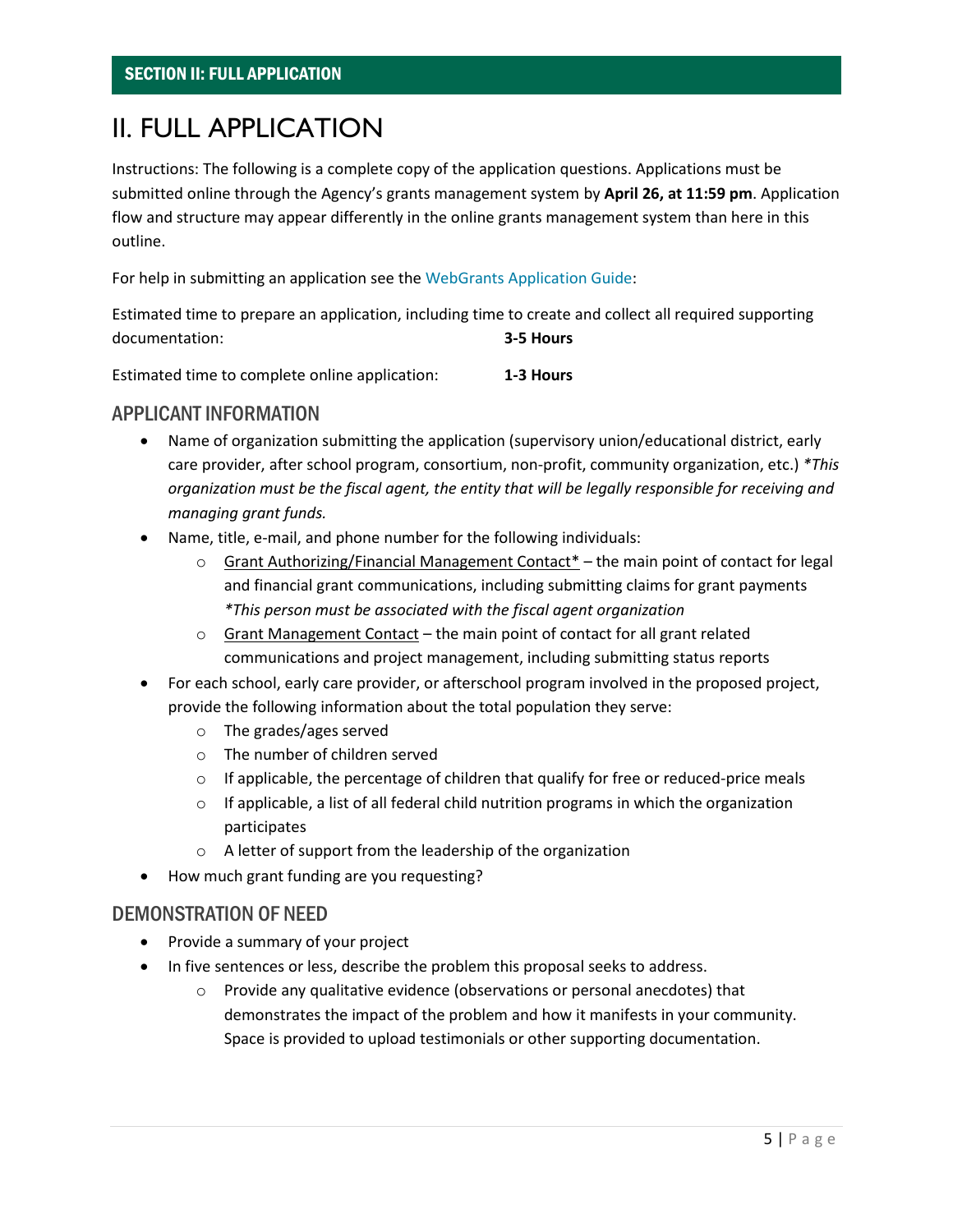### <span id="page-4-0"></span>II. FULL APPLICATION

<span id="page-4-1"></span>Instructions: The following is a complete copy of the application questions. Applications must be submitted online through the Agency's grants management system by **April 26, at 11:59 pm**. Application flow and structure may appear differently in the online grants management system than here in this outline.

For help in submitting an application see the [WebGrants Application Guide:](https://agriculture.vermont.gov/grants/howtoapply)

Estimated time to prepare an application, including time to create and collect all required supporting documentation: **3-5 Hours**

Estimated time to complete online application: **1-3 Hours**

#### APPLICANT INFORMATION

- Name of organization submitting the application (supervisory union/educational district, early care provider, after school program, consortium, non-profit, community organization, etc.) *\*This organization must be the fiscal agent, the entity that will be legally responsible for receiving and managing grant funds.*
- Name, title, e-mail, and phone number for the following individuals:
	- $\circ$  Grant Authorizing/Financial Management Contact<sup>\*</sup> the main point of contact for legal and financial grant communications, including submitting claims for grant payments *\*This person must be associated with the fiscal agent organization*
	- $\circ$  Grant Management Contact the main point of contact for all grant related communications and project management, including submitting status reports
- For each school, early care provider, or afterschool program involved in the proposed project, provide the following information about the total population they serve:
	- o The grades/ages served
	- o The number of children served
	- $\circ$  If applicable, the percentage of children that qualify for free or reduced-price meals
	- $\circ$  If applicable, a list of all federal child nutrition programs in which the organization participates
	- o A letter of support from the leadership of the organization
- How much grant funding are you requesting?

#### DEMONSTRATION OF NEED

- Provide a summary of your project
- In five sentences or less, describe the problem this proposal seeks to address.
	- o Provide any qualitative evidence (observations or personal anecdotes) that demonstrates the impact of the problem and how it manifests in your community. Space is provided to upload testimonials or other supporting documentation.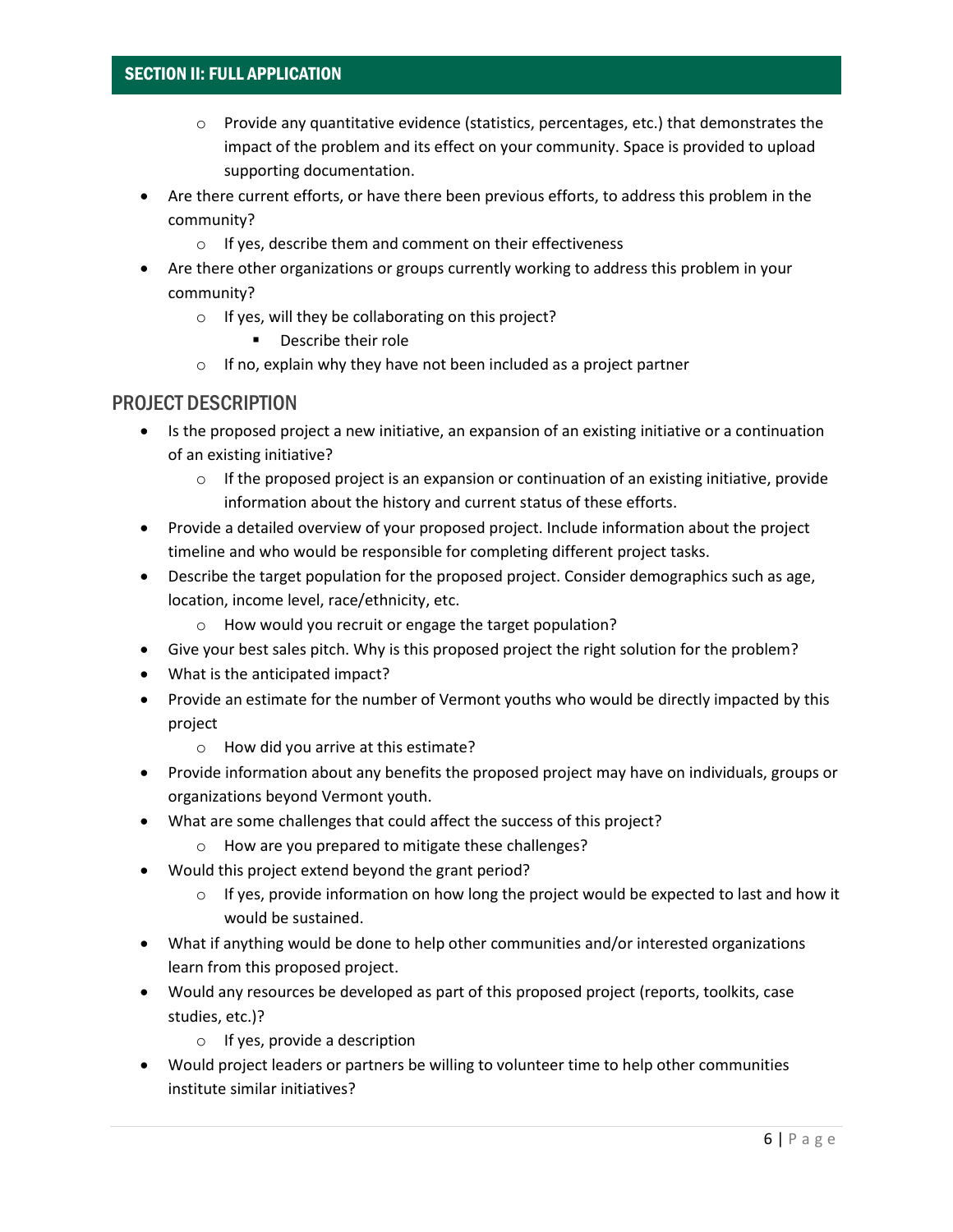#### SECTION II: FULL APPLICATION

- $\circ$  Provide any quantitative evidence (statistics, percentages, etc.) that demonstrates the impact of the problem and its effect on your community. Space is provided to upload supporting documentation.
- Are there current efforts, or have there been previous efforts, to address this problem in the community?
	- o If yes, describe them and comment on their effectiveness
- Are there other organizations or groups currently working to address this problem in your community?
	- o If yes, will they be collaborating on this project?
		- Describe their role
	- $\circ$  If no, explain why they have not been included as a project partner

#### PROJECT DESCRIPTION

- Is the proposed project a new initiative, an expansion of an existing initiative or a continuation of an existing initiative?
	- $\circ$  If the proposed project is an expansion or continuation of an existing initiative, provide information about the history and current status of these efforts.
- Provide a detailed overview of your proposed project. Include information about the project timeline and who would be responsible for completing different project tasks.
- Describe the target population for the proposed project. Consider demographics such as age, location, income level, race/ethnicity, etc.
	- o How would you recruit or engage the target population?
- Give your best sales pitch. Why is this proposed project the right solution for the problem?
- What is the anticipated impact?
- Provide an estimate for the number of Vermont youths who would be directly impacted by this project
	- o How did you arrive at this estimate?
- Provide information about any benefits the proposed project may have on individuals, groups or organizations beyond Vermont youth.
- What are some challenges that could affect the success of this project?
	- o How are you prepared to mitigate these challenges?
- Would this project extend beyond the grant period?
	- $\circ$  If yes, provide information on how long the project would be expected to last and how it would be sustained.
- What if anything would be done to help other communities and/or interested organizations learn from this proposed project.
- Would any resources be developed as part of this proposed project (reports, toolkits, case studies, etc.)?
	- o If yes, provide a description
- Would project leaders or partners be willing to volunteer time to help other communities institute similar initiatives?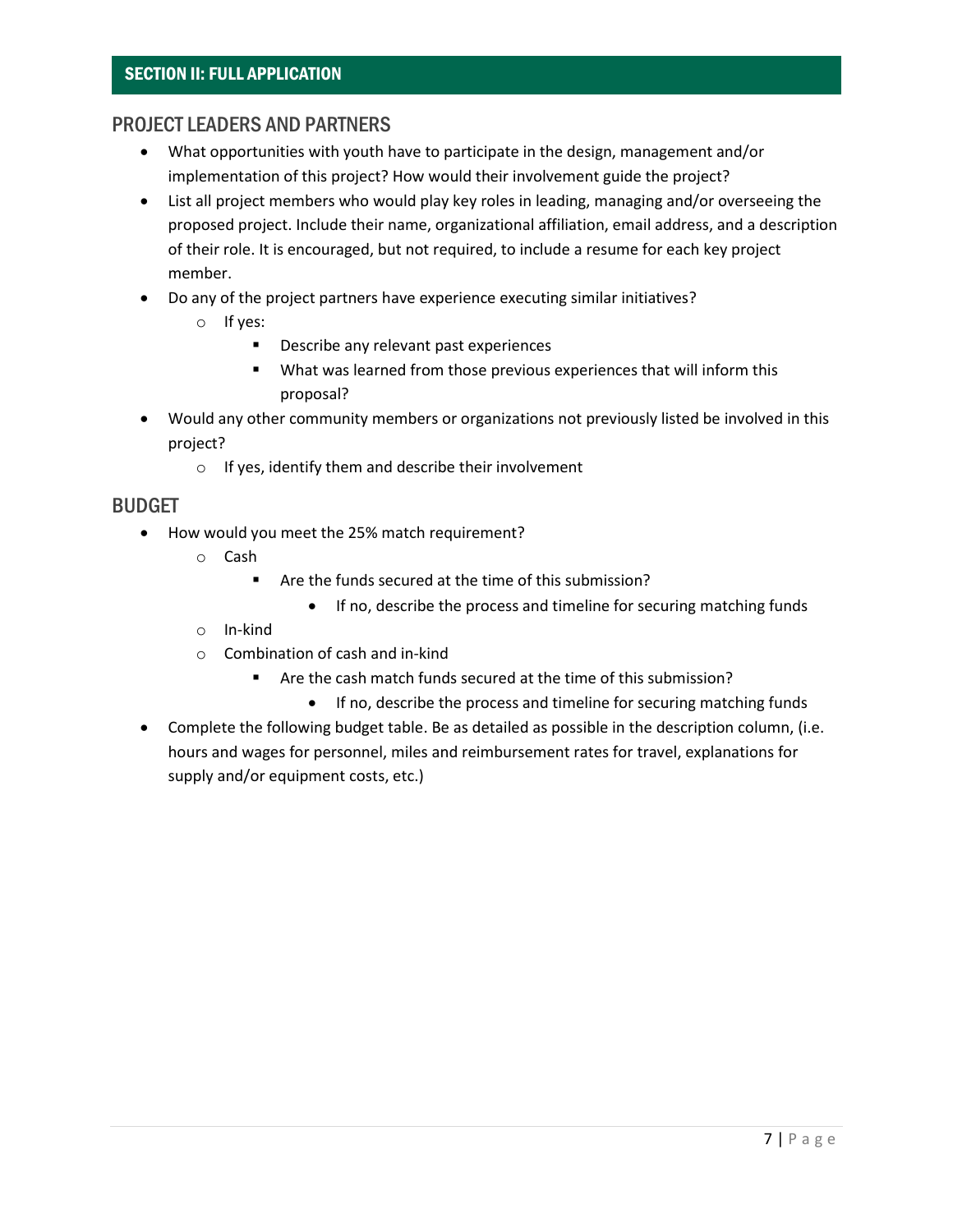#### SECTION II: FULL APPLICATION

#### PROJECT LEADERS AND PARTNERS

- What opportunities with youth have to participate in the design, management and/or implementation of this project? How would their involvement guide the project?
- List all project members who would play key roles in leading, managing and/or overseeing the proposed project. Include their name, organizational affiliation, email address, and a description of their role. It is encouraged, but not required, to include a resume for each key project member.
- Do any of the project partners have experience executing similar initiatives?
	- o If yes:
		- Describe any relevant past experiences
		- What was learned from those previous experiences that will inform this proposal?
- Would any other community members or organizations not previously listed be involved in this project?
	- o If yes, identify them and describe their involvement

#### BUDGET

- How would you meet the 25% match requirement?
	- o Cash
		- Are the funds secured at the time of this submission?
			- If no, describe the process and timeline for securing matching funds
	- o In-kind
	- $\circ$  Combination of cash and in-kind
		- Are the cash match funds secured at the time of this submission?
			- If no, describe the process and timeline for securing matching funds
- Complete the following budget table. Be as detailed as possible in the description column, (i.e. hours and wages for personnel, miles and reimbursement rates for travel, explanations for supply and/or equipment costs, etc.)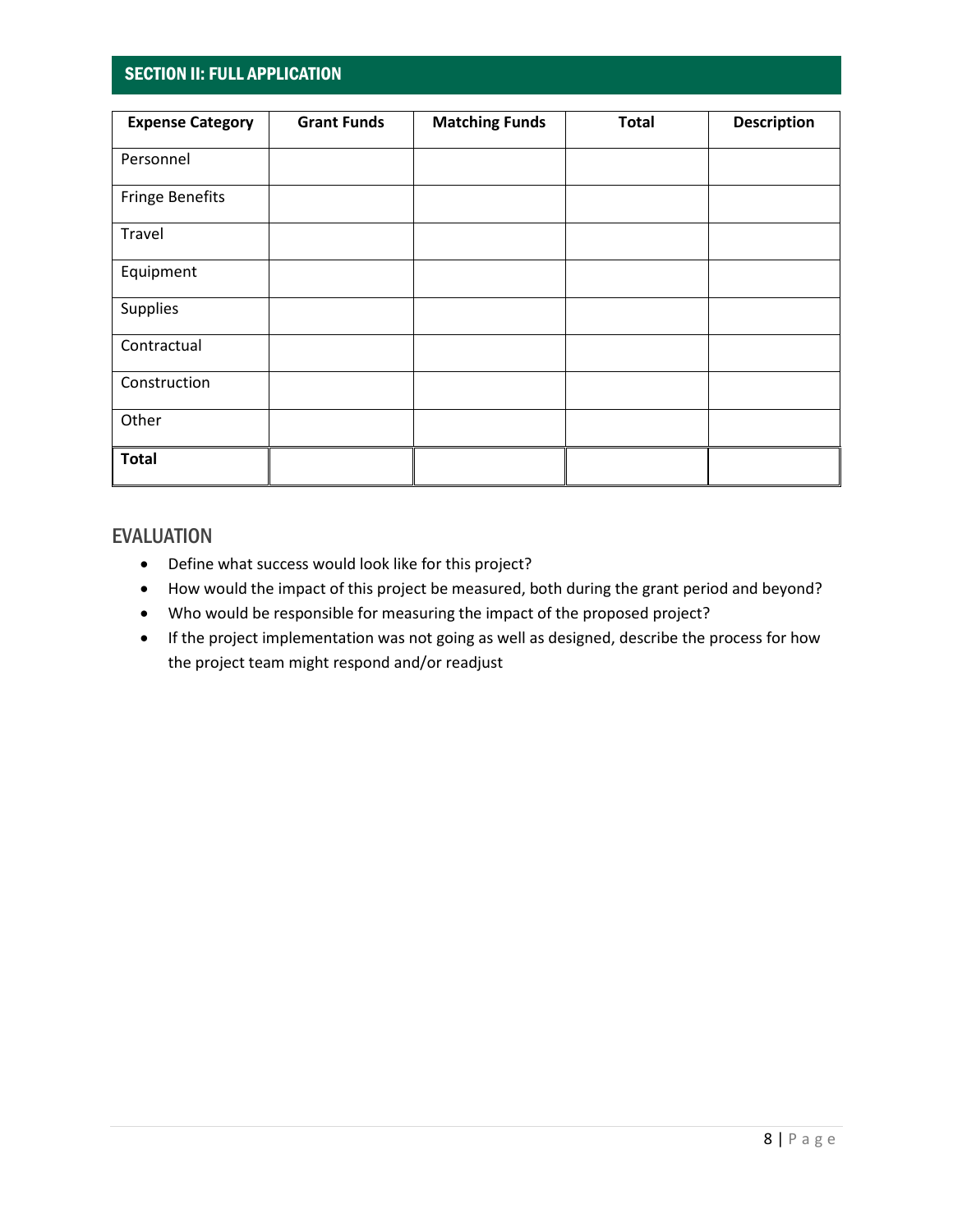#### SECTION II: FULL APPLICATION

| <b>Expense Category</b> | <b>Grant Funds</b> | <b>Matching Funds</b> | <b>Total</b> | <b>Description</b> |
|-------------------------|--------------------|-----------------------|--------------|--------------------|
| Personnel               |                    |                       |              |                    |
| <b>Fringe Benefits</b>  |                    |                       |              |                    |
| Travel                  |                    |                       |              |                    |
| Equipment               |                    |                       |              |                    |
| Supplies                |                    |                       |              |                    |
| Contractual             |                    |                       |              |                    |
| Construction            |                    |                       |              |                    |
| Other                   |                    |                       |              |                    |
| <b>Total</b>            |                    |                       |              |                    |

#### EVALUATION

- Define what success would look like for this project?
- How would the impact of this project be measured, both during the grant period and beyond?
- Who would be responsible for measuring the impact of the proposed project?
- If the project implementation was not going as well as designed, describe the process for how the project team might respond and/or readjust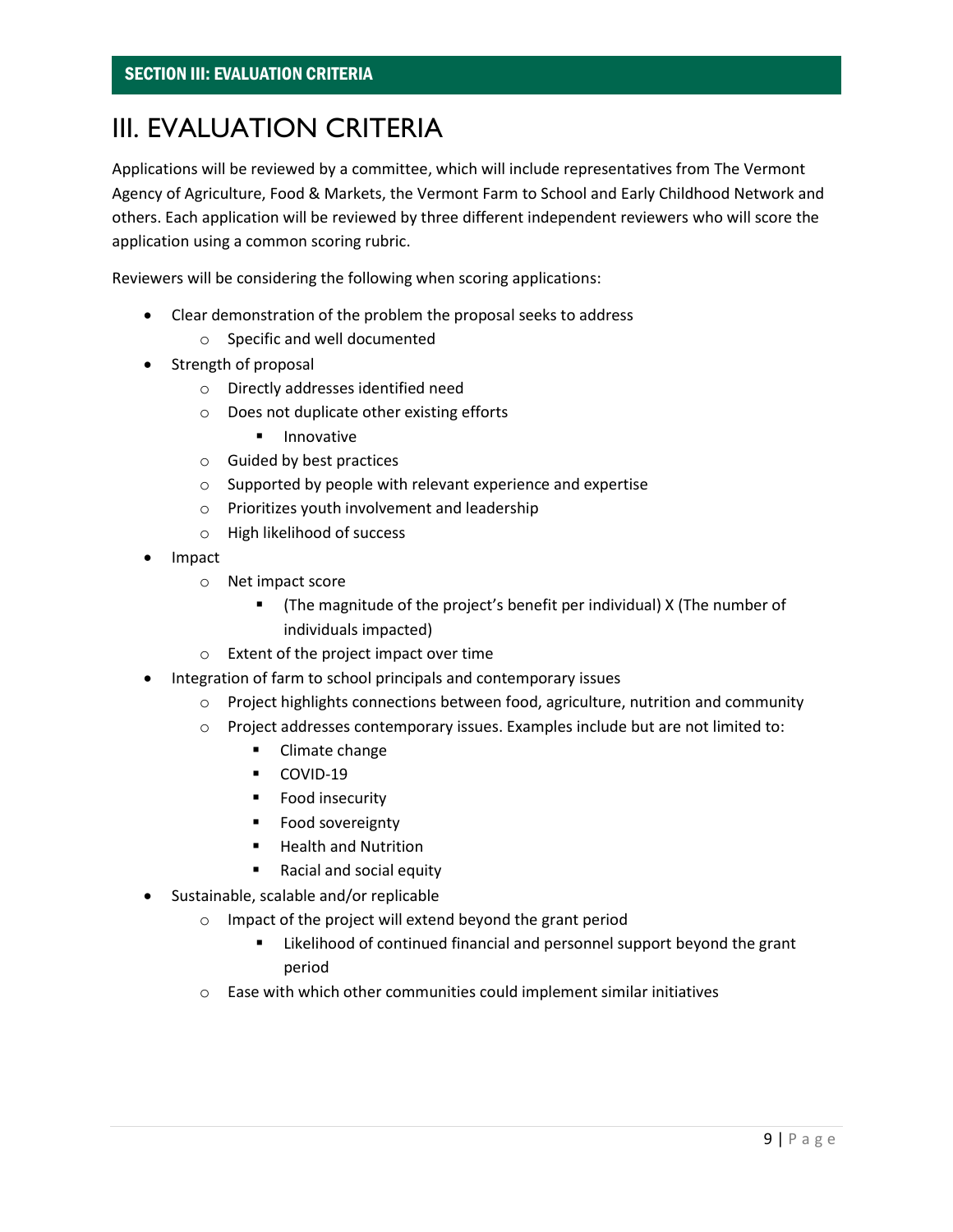### III. EVALUATION CRITERIA

Applications will be reviewed by a committee, which will include representatives from The Vermont Agency of Agriculture, Food & Markets, the Vermont Farm to School and Early Childhood Network and others. Each application will be reviewed by three different independent reviewers who will score the application using a common scoring rubric.

Reviewers will be considering the following when scoring applications:

- Clear demonstration of the problem the proposal seeks to address
	- o Specific and well documented
- Strength of proposal
	- o Directly addresses identified need
	- o Does not duplicate other existing efforts
		- Innovative
	- o Guided by best practices
	- o Supported by people with relevant experience and expertise
	- o Prioritizes youth involvement and leadership
	- o High likelihood of success
- Impact
	- o Net impact score
		- (The magnitude of the project's benefit per individual) X (The number of individuals impacted)
	- o Extent of the project impact over time
- Integration of farm to school principals and contemporary issues
	- $\circ$  Project highlights connections between food, agriculture, nutrition and community
	- o Project addresses contemporary issues. Examples include but are not limited to:
		- Climate change
		- COVID-19
		- Food insecurity
		- Food sovereignty
		- Health and Nutrition
		- Racial and social equity
- Sustainable, scalable and/or replicable
	- o Impact of the project will extend beyond the grant period
		- Likelihood of continued financial and personnel support beyond the grant period
		- o Ease with which other communities could implement similar initiatives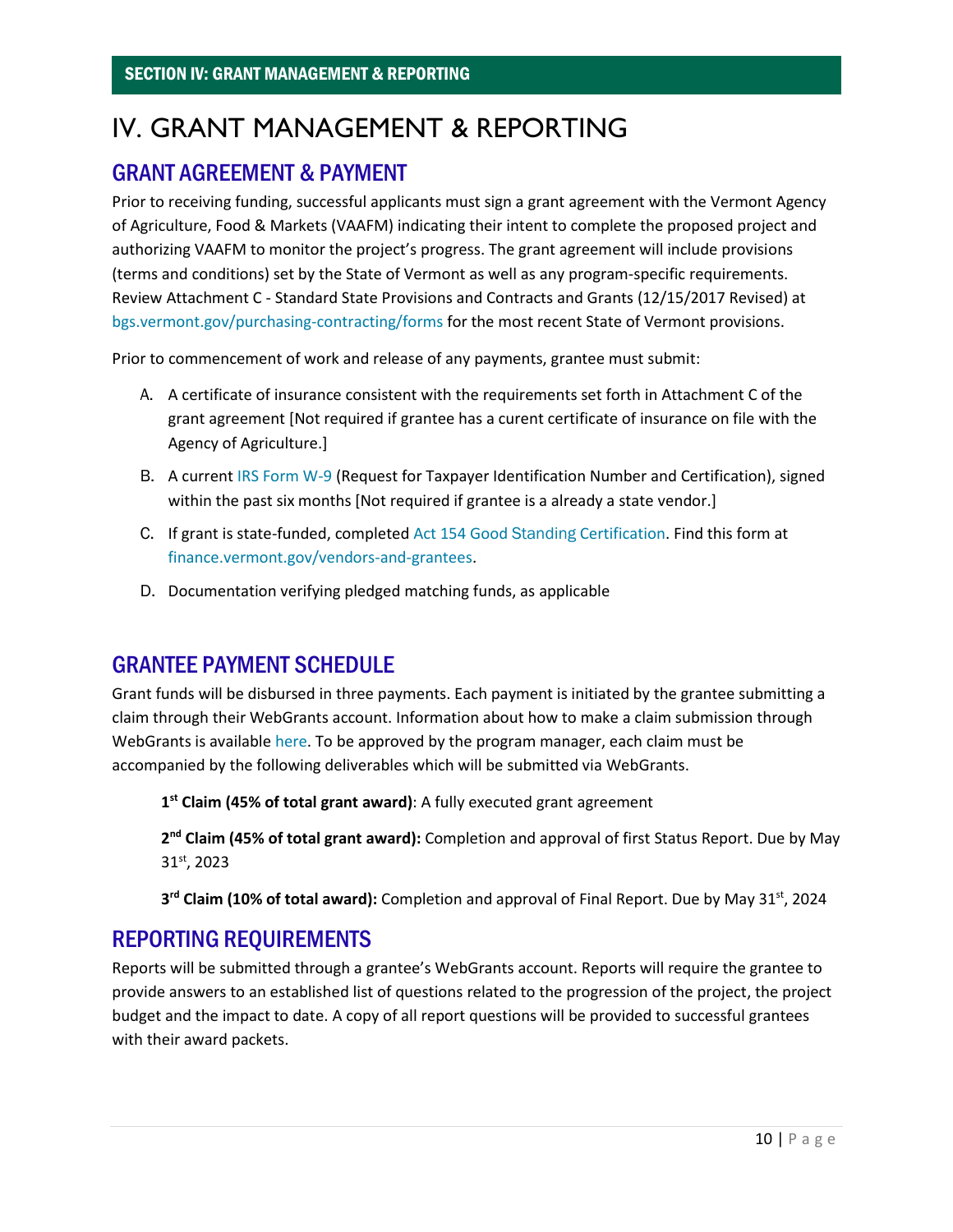### <span id="page-9-0"></span>IV. GRANT MANAGEMENT & REPORTING

#### GRANT AGREEMENT & PAYMENT

Prior to receiving funding, successful applicants must sign a grant agreement with the Vermont Agency of Agriculture, Food & Markets (VAAFM) indicating their intent to complete the proposed project and authorizing VAAFM to monitor the project's progress. The grant agreement will include provisions (terms and conditions) set by the State of Vermont as well as any program-specific requirements. Review Attachment C - [Standard State Provisions and Contracts and Grants](http://bgs.vermont.gov/sites/bgs/files/files/purchasing-contracting/pcard/ATTACHMENT%20C%20-%20rev%20Dec%202017%20CLEAN.docx) (12/15/2017 Revised) at [bgs.vermont.gov/purchasing-contracting/forms](http://bgs.vermont.gov/purchasing-contracting/forms) for the most recent State of Vermont provisions.

Prior to commencement of work and release of any payments, grantee must submit:

- A. A certificate of insurance consistent with the requirements set forth in Attachment C of the grant agreement [Not required if grantee has a curent certificate of insurance on file with the Agency of Agriculture.]
- B. A current [IRS Form W-9](https://www.irs.gov/forms-pubs/about-form-w-9) (Request for Taxpayer Identification Number and Certification), signed within the past six months [Not required if grantee is a already a state vendor.]
- C. If grant is state-funded, completed Act 154 Good Standing [Certification.](https://finance.vermont.gov/sites/finance/files/documents/Forms/Grant_Recipients/FIN-Act154_Cert.pdf) Find this form at [finance.vermont.gov/vendors-and-grantees.](https://finance.vermont.gov/vendors-and-grantees)
- D. Documentation verifying pledged matching funds, as applicable

#### GRANTEE PAYMENT SCHEDULE

Grant funds will be disbursed in three payments. Each payment is initiated by the grantee submitting a claim through their WebGrants account. Information about how to make a claim submission through WebGrants is availabl[e here.](https://agriculture.vermont.gov/grants/howtoclaim) To be approved by the program manager, each claim must be accompanied by the following deliverables which will be submitted via WebGrants.

**1 st Claim (45% of total grant award)**: A fully executed grant agreement

**2 nd Claim (45% of total grant award):** Completion and approval of first Status Report. Due by May 31st, 2023

**3 rd Claim (10% of total award):** Completion and approval of Final Report. Due by May 31st, 2024

### REPORTING REQUIREMENTS

Reports will be submitted through a grantee's WebGrants account. Reports will require the grantee to provide answers to an established list of questions related to the progression of the project, the project budget and the impact to date. A copy of all report questions will be provided to successful grantees with their award packets.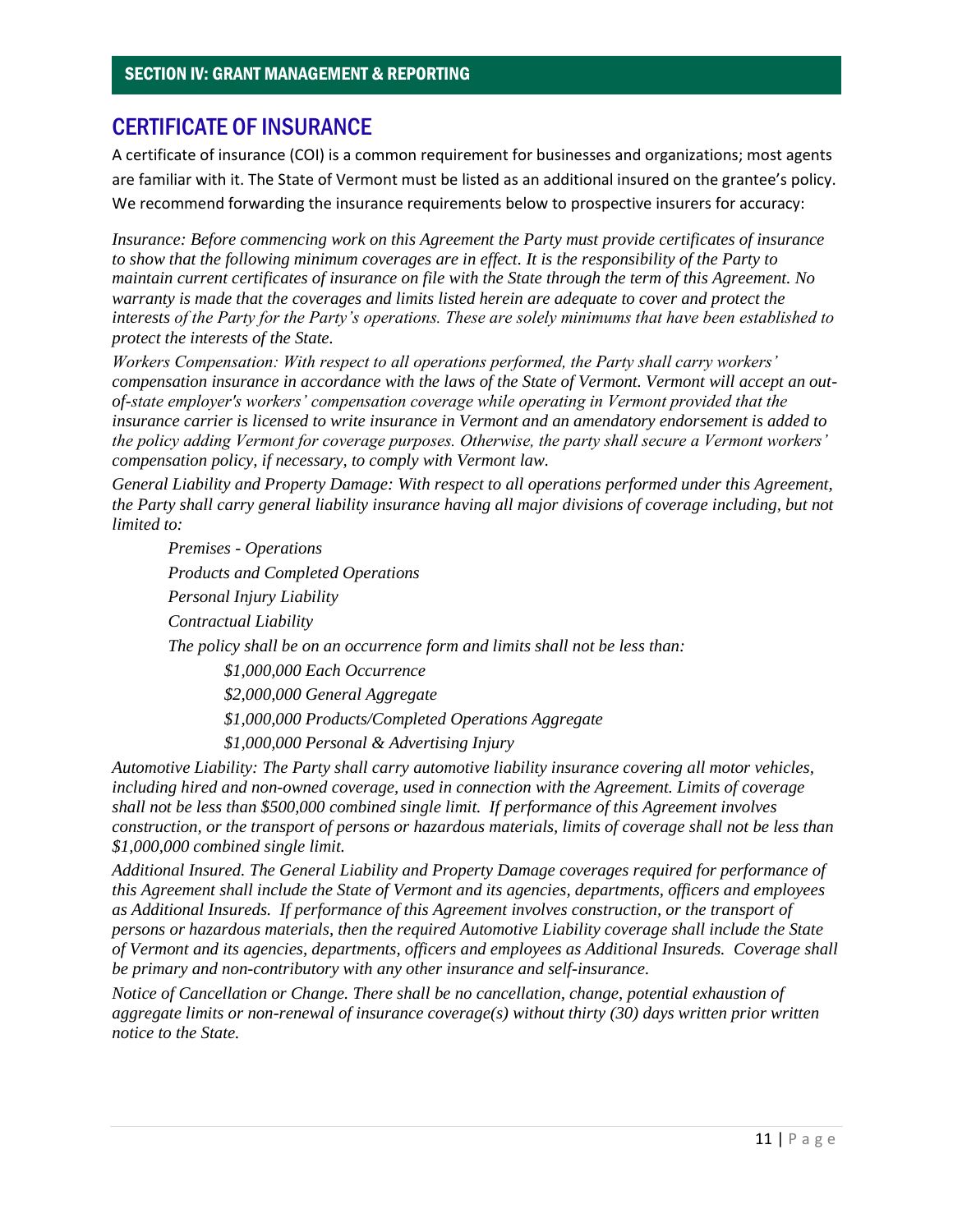#### CERTIFICATE OF INSURANCE

A certificate of insurance (COI) is a common requirement for businesses and organizations; most agents are familiar with it. The State of Vermont must be listed as an additional insured on the grantee's policy. We recommend forwarding the insurance requirements below to prospective insurers for accuracy:

*Insurance: Before commencing work on this Agreement the Party must provide certificates of insurance to show that the following minimum coverages are in effect. It is the responsibility of the Party to maintain current certificates of insurance on file with the State through the term of this Agreement. No warranty is made that the coverages and limits listed herein are adequate to cover and protect the interests of the Party for the Party's operations. These are solely minimums that have been established to protect the interests of the State.* 

*Workers Compensation: With respect to all operations performed, the Party shall carry workers' compensation insurance in accordance with the laws of the State of Vermont. Vermont will accept an outof-state employer's workers' compensation coverage while operating in Vermont provided that the insurance carrier is licensed to write insurance in Vermont and an amendatory endorsement is added to the policy adding Vermont for coverage purposes. Otherwise, the party shall secure a Vermont workers' compensation policy, if necessary, to comply with Vermont law.* 

*General Liability and Property Damage: With respect to all operations performed under this Agreement, the Party shall carry general liability insurance having all major divisions of coverage including, but not limited to:* 

*Premises - Operations Products and Completed Operations Personal Injury Liability Contractual Liability The policy shall be on an occurrence form and limits shall not be less than: \$1,000,000 Each Occurrence \$2,000,000 General Aggregate \$1,000,000 Products/Completed Operations Aggregate \$1,000,000 Personal & Advertising Injury*

*Automotive Liability: The Party shall carry automotive liability insurance covering all motor vehicles, including hired and non-owned coverage, used in connection with the Agreement. Limits of coverage shall not be less than \$500,000 combined single limit. If performance of this Agreement involves construction, or the transport of persons or hazardous materials, limits of coverage shall not be less than \$1,000,000 combined single limit.* 

*Additional Insured. The General Liability and Property Damage coverages required for performance of this Agreement shall include the State of Vermont and its agencies, departments, officers and employees as Additional Insureds. If performance of this Agreement involves construction, or the transport of persons or hazardous materials, then the required Automotive Liability coverage shall include the State of Vermont and its agencies, departments, officers and employees as Additional Insureds. Coverage shall be primary and non-contributory with any other insurance and self-insurance.* 

*Notice of Cancellation or Change. There shall be no cancellation, change, potential exhaustion of aggregate limits or non-renewal of insurance coverage(s) without thirty (30) days written prior written notice to the State.*